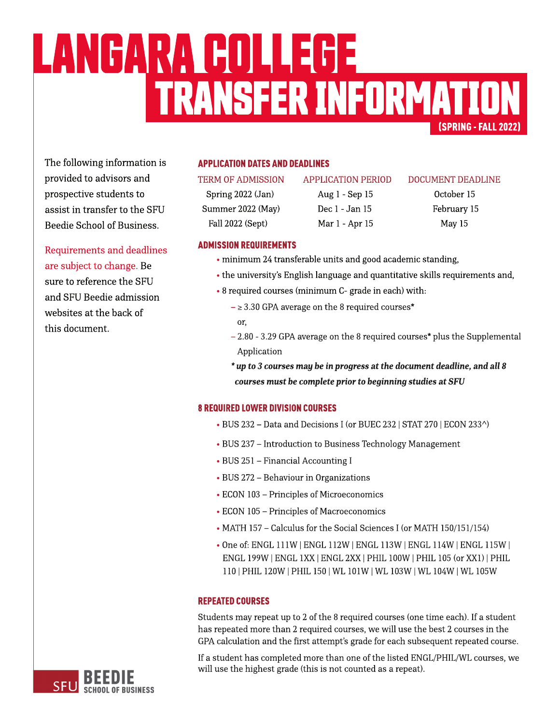# (SPRING-FALL2022) TRANSFERINFORMATION LANGARA COLLEGE

The following information is provided to advisors and prospective students to assist in transfer to the SFU Beedie School of Business.

Requirements and deadlines are subject to change. Be sure to reference the SFU and SFU Beedie admission websites at the back of this document.

# **APPLICATION DATES AND DEADLINES**

Spring 2022 (Jan) Aug 1 - Sep 15 October 15 Summer 2022 (May) Dec 1 - Jan 15 February 15 Fall 2022 (Sept) Mar 1 - Apr 15 May 15

#### TERM OF ADMISSION APPLICATION PERIOD DOCUMENT DEADLINE

# **ADMISSION REQUIREMENTS**

- minimum 24 transferable units and good academic standing,
- the university's [English](https://www.sfu.ca/students/admission/admission-requirements/english-language-requirement.html) [language](https://www.sfu.ca/students/admission/admission-requirements/english-language-requirement.html) and quantitative skills requirements and,
- 8 required courses (minimum C- grade in each) with:
	- $\geq$  3.30 GPA average on the 8 required courses\* or,
	- $2.80 3.29$  GPA average on the 8 required courses\* plus the Supplemental Application
	- **\* upto3coursesmay bein progressat thedocument deadline,andall8** *courses must be complete prior to beginning studies at SFU*

# **8 REQUIRED LOWER DIVISION COURSES**

- BUS 232 Data and Decisions I (or BUEC 232 | STAT 270 | ECON 233^)
- BUS 237 Introduction to Business Technology Management
- BUS 251 Financial Accounting I
- BUS 272 Behaviour in Organizations
- ECON 103 Principles of Microeconomics
- ECON 105 Principles of Macroeconomics
- MATH 157 Calculus for the Social Sciences I (or MATH 150/151/154)
- Oneof: ENGL 111W |ENGL 112W | ENGL 113W | ENGL 114W | ENGL 115W | ENGL 199W |ENGL 1XX|ENGL 2XX| PHIL 100W |PHIL 105(or XX1) |PHIL 110| PHIL 120W |PHIL 150| WL 101W | WL 103W | WL 104W | WL105W

# **REPEATED COURSES**

Students may repeat up to 2 of the 8 required courses (one time each). If a student has repeated more than 2 required courses, we will use the best 2 courses in the GPA calculation and the first attempt's grade for each subsequent repeated course.

If a student has completed more than one of the listed ENGL/PHIL/WL courses, we will use the highest grade (this is not counted as a repeat).